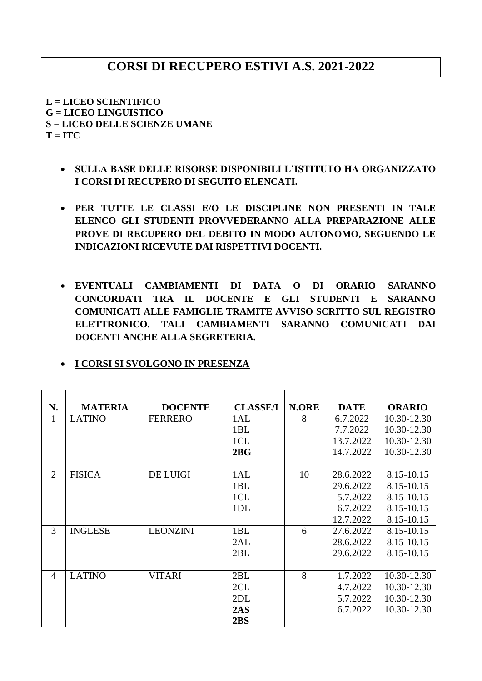## **CORSI DI RECUPERO ESTIVI A.S. 2021-2022**

**L = LICEO SCIENTIFICO G = LICEO LINGUISTICO S = LICEO DELLE SCIENZE UMANE**  $T = ITC$ 

- **SULLA BASE DELLE RISORSE DISPONIBILI L'ISTITUTO HA ORGANIZZATO I CORSI DI RECUPERO DI SEGUITO ELENCATI.**
- **PER TUTTE LE CLASSI E/O LE DISCIPLINE NON PRESENTI IN TALE ELENCO GLI STUDENTI PROVVEDERANNO ALLA PREPARAZIONE ALLE PROVE DI RECUPERO DEL DEBITO IN MODO AUTONOMO, SEGUENDO LE INDICAZIONI RICEVUTE DAI RISPETTIVI DOCENTI.**
- **EVENTUALI CAMBIAMENTI DI DATA O DI ORARIO SARANNO CONCORDATI TRA IL DOCENTE E GLI STUDENTI E SARANNO COMUNICATI ALLE FAMIGLIE TRAMITE AVVISO SCRITTO SUL REGISTRO ELETTRONICO. TALI CAMBIAMENTI SARANNO COMUNICATI DAI DOCENTI ANCHE ALLA SEGRETERIA.**

| I CORSI SI SVOLGONO IN PRESENZA |
|---------------------------------|
|---------------------------------|

| N.             | <b>MATERIA</b> | <b>DOCENTE</b>  | <b>CLASSE/I</b> | <b>N.ORE</b> | <b>DATE</b> | <b>ORARIO</b> |
|----------------|----------------|-----------------|-----------------|--------------|-------------|---------------|
|                |                |                 |                 |              |             |               |
| 1              | <b>LATINO</b>  | <b>FERRERO</b>  | 1AL             | 8            | 6.7.2022    | 10.30-12.30   |
|                |                |                 | 1BL             |              | 7.7.2022    | 10.30-12.30   |
|                |                |                 | 1CL             |              | 13.7.2022   | 10.30-12.30   |
|                |                |                 | 2BG             |              | 14.7.2022   | 10.30-12.30   |
|                |                |                 |                 |              |             |               |
| $\overline{2}$ | <b>FISICA</b>  | <b>DE LUIGI</b> | 1AL             | 10           | 28.6.2022   | 8.15-10.15    |
|                |                |                 | 1BL             |              | 29.6.2022   | 8.15-10.15    |
|                |                |                 | 1CL             |              | 5.7.2022    | 8.15-10.15    |
|                |                |                 | 1DL             |              | 6.7.2022    | 8.15-10.15    |
|                |                |                 |                 |              | 12.7.2022   | 8.15-10.15    |
| 3              | <b>INGLESE</b> | <b>LEONZINI</b> | 1BL             | 6            | 27.6.2022   | 8.15-10.15    |
|                |                |                 | 2AL             |              | 28.6.2022   | 8.15-10.15    |
|                |                |                 | 2BL             |              | 29.6.2022   | 8.15-10.15    |
|                |                |                 |                 |              |             |               |
| 4              | <b>LATINO</b>  | <b>VITARI</b>   | 2BL             | 8            | 1.7.2022    | 10.30-12.30   |
|                |                |                 | 2CL             |              | 4.7.2022    | 10.30-12.30   |
|                |                |                 | 2DL             |              | 5.7.2022    | 10.30-12.30   |
|                |                |                 | 2AS             |              | 6.7.2022    | 10.30-12.30   |
|                |                |                 | 2BS             |              |             |               |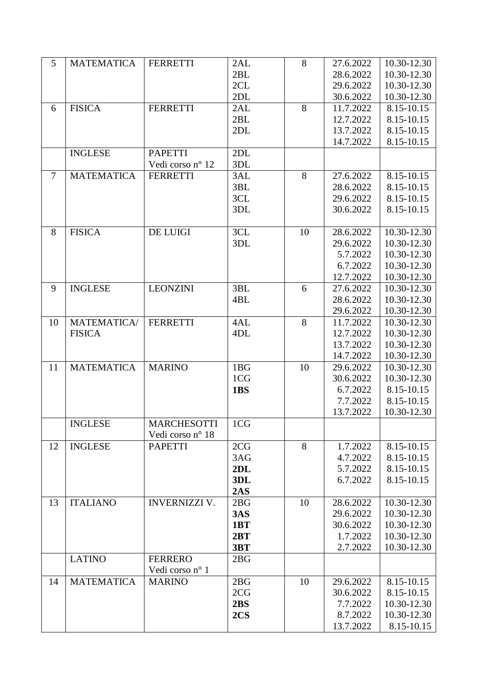| 5              | <b>MATEMATICA</b> | <b>FERRETTI</b>      | 2AL | 8  | 27.6.2022 | 10.30-12.30 |
|----------------|-------------------|----------------------|-----|----|-----------|-------------|
|                |                   |                      | 2BL |    | 28.6.2022 | 10.30-12.30 |
|                |                   |                      | 2CL |    | 29.6.2022 | 10.30-12.30 |
|                |                   |                      | 2DL |    | 30.6.2022 | 10.30-12.30 |
| 6              | <b>FISICA</b>     | <b>FERRETTI</b>      | 2AL | 8  | 11.7.2022 | 8.15-10.15  |
|                |                   |                      | 2BL |    | 12.7.2022 | 8.15-10.15  |
|                |                   |                      | 2DL |    | 13.7.2022 | 8.15-10.15  |
|                |                   |                      |     |    | 14.7.2022 | 8.15-10.15  |
|                | <b>INGLESE</b>    | <b>PAPETTI</b>       | 2DL |    |           |             |
|                |                   | Vedi corso nº 12     | 3DL |    |           |             |
| $\overline{7}$ | <b>MATEMATICA</b> | <b>FERRETTI</b>      | 3AL | 8  | 27.6.2022 | 8.15-10.15  |
|                |                   |                      | 3BL |    | 28.6.2022 | 8.15-10.15  |
|                |                   |                      | 3CL |    | 29.6.2022 | 8.15-10.15  |
|                |                   |                      | 3DL |    | 30.6.2022 | 8.15-10.15  |
|                |                   |                      |     |    |           |             |
| 8              | <b>FISICA</b>     | <b>DE LUIGI</b>      | 3CL | 10 | 28.6.2022 | 10.30-12.30 |
|                |                   |                      | 3DL |    | 29.6.2022 | 10.30-12.30 |
|                |                   |                      |     |    | 5.7.2022  | 10.30-12.30 |
|                |                   |                      |     |    | 6.7.2022  | 10.30-12.30 |
|                |                   |                      |     |    | 12.7.2022 | 10.30-12.30 |
| 9              | <b>INGLESE</b>    | <b>LEONZINI</b>      | 3BL | 6  | 27.6.2022 | 10.30-12.30 |
|                |                   |                      | 4BL |    | 28.6.2022 | 10.30-12.30 |
|                |                   |                      |     |    | 29.6.2022 | 10.30-12.30 |
| 10             | MATEMATICA/       | <b>FERRETTI</b>      | 4AL | 8  | 11.7.2022 | 10.30-12.30 |
|                | <b>FISICA</b>     |                      | 4DL |    | 12.7.2022 | 10.30-12.30 |
|                |                   |                      |     |    | 13.7.2022 | 10.30-12.30 |
|                |                   |                      |     |    | 14.7.2022 | 10.30-12.30 |
| 11             | <b>MATEMATICA</b> | <b>MARINO</b>        | 1BG | 10 | 29.6.2022 | 10.30-12.30 |
|                |                   |                      | 1CG |    | 30.6.2022 | 10.30-12.30 |
|                |                   |                      | 1BS |    | 6.7.2022  | 8.15-10.15  |
|                |                   |                      |     |    | 7.7.2022  | 8.15-10.15  |
|                |                   |                      |     |    | 13.7.2022 | 10.30-12.30 |
|                | <b>INGLESE</b>    | <b>MARCHESOTTI</b>   | 1CG |    |           |             |
|                |                   | Vedi corso nº 18     |     |    |           |             |
| 12             | <b>INGLESE</b>    | <b>PAPETTI</b>       | 2CG | 8  | 1.7.2022  | 8.15-10.15  |
|                |                   |                      | 3AG |    | 4.7.2022  | 8.15-10.15  |
|                |                   |                      | 2DL |    | 5.7.2022  | 8.15-10.15  |
|                |                   |                      | 3DL |    | 6.7.2022  | 8.15-10.15  |
|                |                   |                      | 2AS |    |           |             |
| 13             | <b>ITALIANO</b>   | <b>INVERNIZZI V.</b> | 2BG | 10 | 28.6.2022 | 10.30-12.30 |
|                |                   |                      | 3AS |    | 29.6.2022 | 10.30-12.30 |
|                |                   |                      | 1BT |    | 30.6.2022 | 10.30-12.30 |
|                |                   |                      | 2BT |    | 1.7.2022  | 10.30-12.30 |
|                |                   |                      | 3BT |    | 2.7.2022  | 10.30-12.30 |
|                | <b>LATINO</b>     | <b>FERRERO</b>       | 2BG |    |           |             |
|                |                   | Vedi corso nº 1      |     |    |           |             |
| 14             | <b>MATEMATICA</b> | <b>MARINO</b>        | 2BG | 10 | 29.6.2022 | 8.15-10.15  |
|                |                   |                      | 2CG |    | 30.6.2022 | 8.15-10.15  |
|                |                   |                      | 2BS |    | 7.7.2022  | 10.30-12.30 |
|                |                   |                      | 2CS |    | 8.7.2022  | 10.30-12.30 |
|                |                   |                      |     |    | 13.7.2022 | 8.15-10.15  |